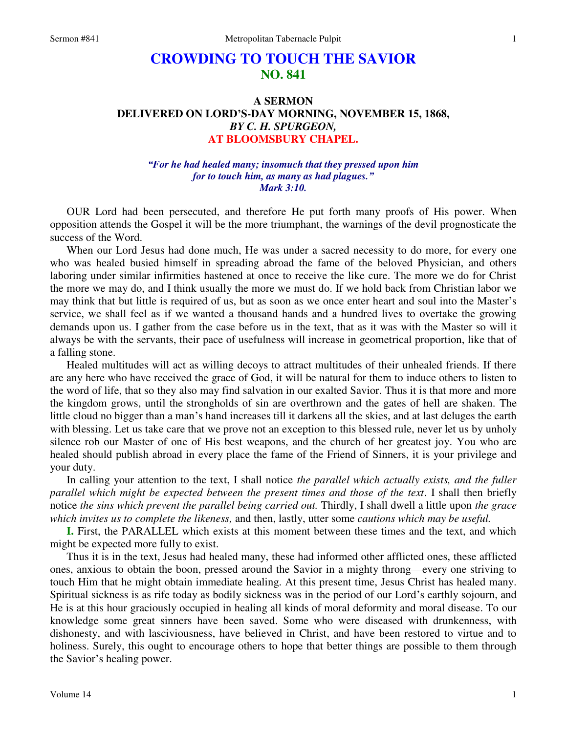# **CROWDING TO TOUCH THE SAVIOR NO. 841**

## **A SERMON DELIVERED ON LORD'S-DAY MORNING, NOVEMBER 15, 1868,**  *BY C. H. SPURGEON,*  **AT BLOOMSBURY CHAPEL.**

### *"For he had healed many; insomuch that they pressed upon him for to touch him, as many as had plagues." Mark 3:10.*

 OUR Lord had been persecuted, and therefore He put forth many proofs of His power. When opposition attends the Gospel it will be the more triumphant, the warnings of the devil prognosticate the success of the Word.

 When our Lord Jesus had done much, He was under a sacred necessity to do more, for every one who was healed busied himself in spreading abroad the fame of the beloved Physician, and others laboring under similar infirmities hastened at once to receive the like cure. The more we do for Christ the more we may do, and I think usually the more we must do. If we hold back from Christian labor we may think that but little is required of us, but as soon as we once enter heart and soul into the Master's service, we shall feel as if we wanted a thousand hands and a hundred lives to overtake the growing demands upon us. I gather from the case before us in the text, that as it was with the Master so will it always be with the servants, their pace of usefulness will increase in geometrical proportion, like that of a falling stone.

 Healed multitudes will act as willing decoys to attract multitudes of their unhealed friends. If there are any here who have received the grace of God, it will be natural for them to induce others to listen to the word of life, that so they also may find salvation in our exalted Savior. Thus it is that more and more the kingdom grows, until the strongholds of sin are overthrown and the gates of hell are shaken. The little cloud no bigger than a man's hand increases till it darkens all the skies, and at last deluges the earth with blessing. Let us take care that we prove not an exception to this blessed rule, never let us by unholy silence rob our Master of one of His best weapons, and the church of her greatest joy. You who are healed should publish abroad in every place the fame of the Friend of Sinners, it is your privilege and your duty.

 In calling your attention to the text, I shall notice *the parallel which actually exists, and the fuller parallel which might be expected between the present times and those of the text*. I shall then briefly notice *the sins which prevent the parallel being carried out.* Thirdly, I shall dwell a little upon *the grace which invites us to complete the likeness,* and then, lastly, utter some *cautions which may be useful.* 

**I.** First, the PARALLEL which exists at this moment between these times and the text, and which might be expected more fully to exist.

 Thus it is in the text, Jesus had healed many, these had informed other afflicted ones, these afflicted ones, anxious to obtain the boon, pressed around the Savior in a mighty throng—every one striving to touch Him that he might obtain immediate healing. At this present time, Jesus Christ has healed many. Spiritual sickness is as rife today as bodily sickness was in the period of our Lord's earthly sojourn, and He is at this hour graciously occupied in healing all kinds of moral deformity and moral disease. To our knowledge some great sinners have been saved. Some who were diseased with drunkenness, with dishonesty, and with lasciviousness, have believed in Christ, and have been restored to virtue and to holiness. Surely, this ought to encourage others to hope that better things are possible to them through the Savior's healing power.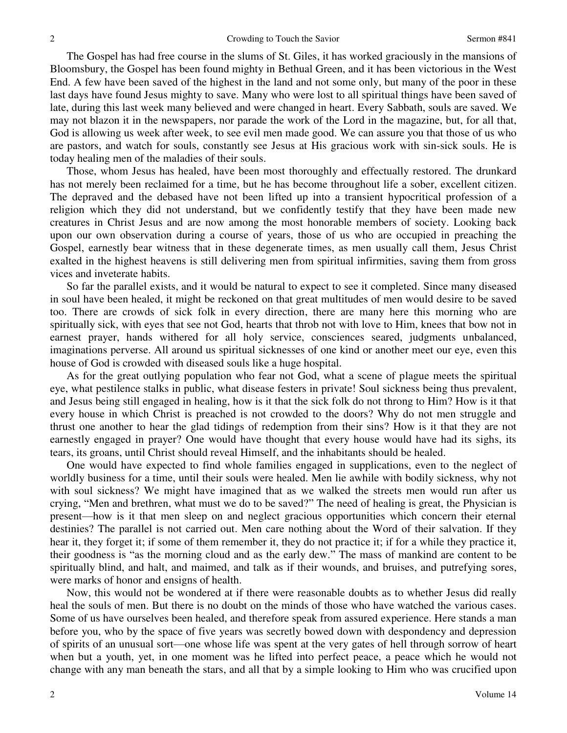The Gospel has had free course in the slums of St. Giles, it has worked graciously in the mansions of Bloomsbury, the Gospel has been found mighty in Bethual Green, and it has been victorious in the West End. A few have been saved of the highest in the land and not some only, but many of the poor in these last days have found Jesus mighty to save. Many who were lost to all spiritual things have been saved of late, during this last week many believed and were changed in heart. Every Sabbath, souls are saved. We may not blazon it in the newspapers, nor parade the work of the Lord in the magazine, but, for all that, God is allowing us week after week, to see evil men made good. We can assure you that those of us who are pastors, and watch for souls, constantly see Jesus at His gracious work with sin-sick souls. He is today healing men of the maladies of their souls.

 Those, whom Jesus has healed, have been most thoroughly and effectually restored. The drunkard has not merely been reclaimed for a time, but he has become throughout life a sober, excellent citizen. The depraved and the debased have not been lifted up into a transient hypocritical profession of a religion which they did not understand, but we confidently testify that they have been made new creatures in Christ Jesus and are now among the most honorable members of society. Looking back upon our own observation during a course of years, those of us who are occupied in preaching the Gospel, earnestly bear witness that in these degenerate times, as men usually call them, Jesus Christ exalted in the highest heavens is still delivering men from spiritual infirmities, saving them from gross vices and inveterate habits.

 So far the parallel exists, and it would be natural to expect to see it completed. Since many diseased in soul have been healed, it might be reckoned on that great multitudes of men would desire to be saved too. There are crowds of sick folk in every direction, there are many here this morning who are spiritually sick, with eyes that see not God, hearts that throb not with love to Him, knees that bow not in earnest prayer, hands withered for all holy service, consciences seared, judgments unbalanced, imaginations perverse. All around us spiritual sicknesses of one kind or another meet our eye, even this house of God is crowded with diseased souls like a huge hospital.

 As for the great outlying population who fear not God, what a scene of plague meets the spiritual eye, what pestilence stalks in public, what disease festers in private! Soul sickness being thus prevalent, and Jesus being still engaged in healing, how is it that the sick folk do not throng to Him? How is it that every house in which Christ is preached is not crowded to the doors? Why do not men struggle and thrust one another to hear the glad tidings of redemption from their sins? How is it that they are not earnestly engaged in prayer? One would have thought that every house would have had its sighs, its tears, its groans, until Christ should reveal Himself, and the inhabitants should be healed.

 One would have expected to find whole families engaged in supplications, even to the neglect of worldly business for a time, until their souls were healed. Men lie awhile with bodily sickness, why not with soul sickness? We might have imagined that as we walked the streets men would run after us crying, "Men and brethren, what must we do to be saved?" The need of healing is great, the Physician is present—how is it that men sleep on and neglect gracious opportunities which concern their eternal destinies? The parallel is not carried out. Men care nothing about the Word of their salvation. If they hear it, they forget it; if some of them remember it, they do not practice it; if for a while they practice it, their goodness is "as the morning cloud and as the early dew." The mass of mankind are content to be spiritually blind, and halt, and maimed, and talk as if their wounds, and bruises, and putrefying sores, were marks of honor and ensigns of health.

 Now, this would not be wondered at if there were reasonable doubts as to whether Jesus did really heal the souls of men. But there is no doubt on the minds of those who have watched the various cases. Some of us have ourselves been healed, and therefore speak from assured experience. Here stands a man before you, who by the space of five years was secretly bowed down with despondency and depression of spirits of an unusual sort—one whose life was spent at the very gates of hell through sorrow of heart when but a youth, yet, in one moment was he lifted into perfect peace, a peace which he would not change with any man beneath the stars, and all that by a simple looking to Him who was crucified upon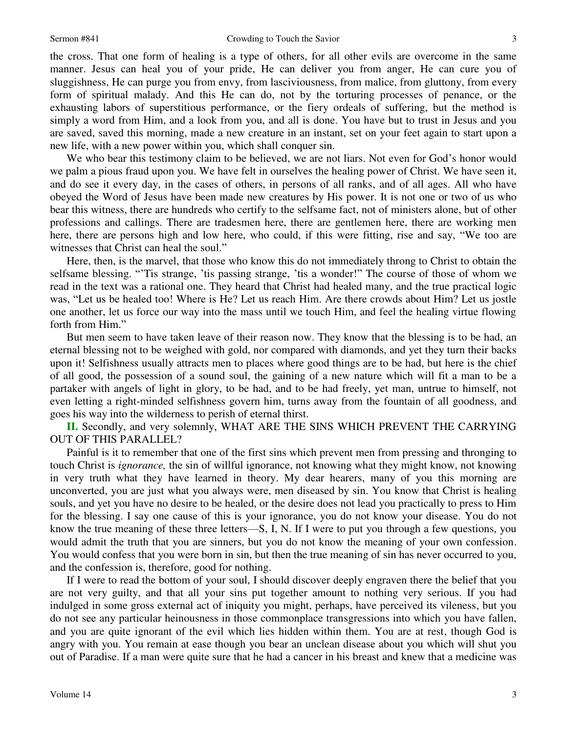the cross. That one form of healing is a type of others, for all other evils are overcome in the same manner. Jesus can heal you of your pride, He can deliver you from anger, He can cure you of sluggishness, He can purge you from envy, from lasciviousness, from malice, from gluttony, from every form of spiritual malady. And this He can do, not by the torturing processes of penance, or the exhausting labors of superstitious performance, or the fiery ordeals of suffering, but the method is simply a word from Him, and a look from you, and all is done. You have but to trust in Jesus and you are saved, saved this morning, made a new creature in an instant, set on your feet again to start upon a new life, with a new power within you, which shall conquer sin.

We who bear this testimony claim to be believed, we are not liars. Not even for God's honor would we palm a pious fraud upon you. We have felt in ourselves the healing power of Christ. We have seen it, and do see it every day, in the cases of others, in persons of all ranks, and of all ages. All who have obeyed the Word of Jesus have been made new creatures by His power. It is not one or two of us who bear this witness, there are hundreds who certify to the selfsame fact, not of ministers alone, but of other professions and callings. There are tradesmen here, there are gentlemen here, there are working men here, there are persons high and low here, who could, if this were fitting, rise and say, "We too are witnesses that Christ can heal the soul."

 Here, then, is the marvel, that those who know this do not immediately throng to Christ to obtain the selfsame blessing. "'Tis strange, 'tis passing strange, 'tis a wonder!" The course of those of whom we read in the text was a rational one. They heard that Christ had healed many, and the true practical logic was, "Let us be healed too! Where is He? Let us reach Him. Are there crowds about Him? Let us jostle one another, let us force our way into the mass until we touch Him, and feel the healing virtue flowing forth from Him."

 But men seem to have taken leave of their reason now. They know that the blessing is to be had, an eternal blessing not to be weighed with gold, nor compared with diamonds, and yet they turn their backs upon it! Selfishness usually attracts men to places where good things are to be had, but here is the chief of all good, the possession of a sound soul, the gaining of a new nature which will fit a man to be a partaker with angels of light in glory, to be had, and to be had freely, yet man, untrue to himself, not even letting a right-minded selfishness govern him, turns away from the fountain of all goodness, and goes his way into the wilderness to perish of eternal thirst.

**II.** Secondly, and very solemnly, WHAT ARE THE SINS WHICH PREVENT THE CARRYING OUT OF THIS PARALLEL?

 Painful is it to remember that one of the first sins which prevent men from pressing and thronging to touch Christ is *ignorance,* the sin of willful ignorance, not knowing what they might know, not knowing in very truth what they have learned in theory. My dear hearers, many of you this morning are unconverted, you are just what you always were, men diseased by sin. You know that Christ is healing souls, and yet you have no desire to be healed, or the desire does not lead you practically to press to Him for the blessing. I say one cause of this is your ignorance, you do not know your disease. You do not know the true meaning of these three letters—S, I, N. If I were to put you through a few questions, you would admit the truth that you are sinners, but you do not know the meaning of your own confession. You would confess that you were born in sin, but then the true meaning of sin has never occurred to you, and the confession is, therefore, good for nothing.

 If I were to read the bottom of your soul, I should discover deeply engraven there the belief that you are not very guilty, and that all your sins put together amount to nothing very serious. If you had indulged in some gross external act of iniquity you might, perhaps, have perceived its vileness, but you do not see any particular heinousness in those commonplace transgressions into which you have fallen, and you are quite ignorant of the evil which lies hidden within them. You are at rest, though God is angry with you. You remain at ease though you bear an unclean disease about you which will shut you out of Paradise. If a man were quite sure that he had a cancer in his breast and knew that a medicine was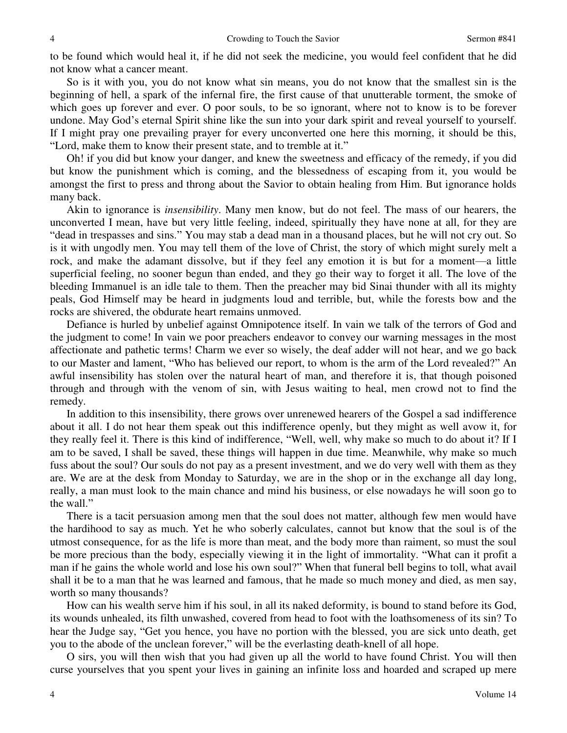to be found which would heal it, if he did not seek the medicine, you would feel confident that he did not know what a cancer meant.

 So is it with you, you do not know what sin means, you do not know that the smallest sin is the beginning of hell, a spark of the infernal fire, the first cause of that unutterable torment, the smoke of which goes up forever and ever. O poor souls, to be so ignorant, where not to know is to be forever undone. May God's eternal Spirit shine like the sun into your dark spirit and reveal yourself to yourself. If I might pray one prevailing prayer for every unconverted one here this morning, it should be this, "Lord, make them to know their present state, and to tremble at it."

 Oh! if you did but know your danger, and knew the sweetness and efficacy of the remedy, if you did but know the punishment which is coming, and the blessedness of escaping from it, you would be amongst the first to press and throng about the Savior to obtain healing from Him. But ignorance holds many back.

 Akin to ignorance is *insensibility*. Many men know, but do not feel. The mass of our hearers, the unconverted I mean, have but very little feeling, indeed, spiritually they have none at all, for they are "dead in trespasses and sins." You may stab a dead man in a thousand places, but he will not cry out. So is it with ungodly men. You may tell them of the love of Christ, the story of which might surely melt a rock, and make the adamant dissolve, but if they feel any emotion it is but for a moment—a little superficial feeling, no sooner begun than ended, and they go their way to forget it all. The love of the bleeding Immanuel is an idle tale to them. Then the preacher may bid Sinai thunder with all its mighty peals, God Himself may be heard in judgments loud and terrible, but, while the forests bow and the rocks are shivered, the obdurate heart remains unmoved.

 Defiance is hurled by unbelief against Omnipotence itself. In vain we talk of the terrors of God and the judgment to come! In vain we poor preachers endeavor to convey our warning messages in the most affectionate and pathetic terms! Charm we ever so wisely, the deaf adder will not hear, and we go back to our Master and lament, "Who has believed our report, to whom is the arm of the Lord revealed?" An awful insensibility has stolen over the natural heart of man, and therefore it is, that though poisoned through and through with the venom of sin, with Jesus waiting to heal, men crowd not to find the remedy.

 In addition to this insensibility, there grows over unrenewed hearers of the Gospel a sad indifference about it all. I do not hear them speak out this indifference openly, but they might as well avow it, for they really feel it. There is this kind of indifference, "Well, well, why make so much to do about it? If I am to be saved, I shall be saved, these things will happen in due time. Meanwhile, why make so much fuss about the soul? Our souls do not pay as a present investment, and we do very well with them as they are. We are at the desk from Monday to Saturday, we are in the shop or in the exchange all day long, really, a man must look to the main chance and mind his business, or else nowadays he will soon go to the wall."

 There is a tacit persuasion among men that the soul does not matter, although few men would have the hardihood to say as much. Yet he who soberly calculates, cannot but know that the soul is of the utmost consequence, for as the life is more than meat, and the body more than raiment, so must the soul be more precious than the body, especially viewing it in the light of immortality. "What can it profit a man if he gains the whole world and lose his own soul?" When that funeral bell begins to toll, what avail shall it be to a man that he was learned and famous, that he made so much money and died, as men say, worth so many thousands?

 How can his wealth serve him if his soul, in all its naked deformity, is bound to stand before its God, its wounds unhealed, its filth unwashed, covered from head to foot with the loathsomeness of its sin? To hear the Judge say, "Get you hence, you have no portion with the blessed, you are sick unto death, get you to the abode of the unclean forever," will be the everlasting death-knell of all hope.

 O sirs, you will then wish that you had given up all the world to have found Christ. You will then curse yourselves that you spent your lives in gaining an infinite loss and hoarded and scraped up mere

4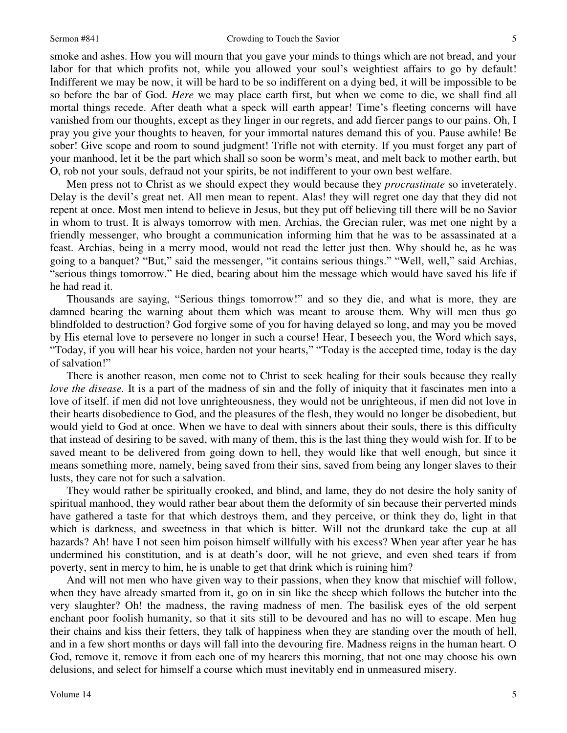smoke and ashes. How you will mourn that you gave your minds to things which are not bread, and your labor for that which profits not, while you allowed your soul's weightiest affairs to go by default! Indifferent we may be now, it will be hard to be so indifferent on a dying bed, it will be impossible to be so before the bar of God. *Here* we may place earth first, but when we come to die, we shall find all mortal things recede. After death what a speck will earth appear! Time's fleeting concerns will have vanished from our thoughts, except as they linger in our regrets, and add fiercer pangs to our pains. Oh, I pray you give your thoughts to heaven*,* for your immortal natures demand this of you. Pause awhile! Be sober! Give scope and room to sound judgment! Trifle not with eternity. If you must forget any part of your manhood, let it be the part which shall so soon be worm's meat, and melt back to mother earth, but

 Men press not to Christ as we should expect they would because they *procrastinate* so inveterately. Delay is the devil's great net. All men mean to repent. Alas! they will regret one day that they did not repent at once. Most men intend to believe in Jesus, but they put off believing till there will be no Savior in whom to trust. It is always tomorrow with men. Archias, the Grecian ruler, was met one night by a friendly messenger, who brought a communication informing him that he was to be assassinated at a feast. Archias, being in a merry mood, would not read the letter just then. Why should he, as he was going to a banquet? "But," said the messenger, "it contains serious things." "Well, well," said Archias, "serious things tomorrow." He died, bearing about him the message which would have saved his life if he had read it.

O, rob not your souls, defraud not your spirits, be not indifferent to your own best welfare.

 Thousands are saying, "Serious things tomorrow!" and so they die, and what is more, they are damned bearing the warning about them which was meant to arouse them. Why will men thus go blindfolded to destruction? God forgive some of you for having delayed so long, and may you be moved by His eternal love to persevere no longer in such a course! Hear, I beseech you, the Word which says, "Today, if you will hear his voice, harden not your hearts," "Today is the accepted time, today is the day of salvation!"

 There is another reason, men come not to Christ to seek healing for their souls because they really *love the disease.* It is a part of the madness of sin and the folly of iniquity that it fascinates men into a love of itself. if men did not love unrighteousness, they would not be unrighteous, if men did not love in their hearts disobedience to God, and the pleasures of the flesh, they would no longer be disobedient, but would yield to God at once. When we have to deal with sinners about their souls, there is this difficulty that instead of desiring to be saved, with many of them, this is the last thing they would wish for. If to be saved meant to be delivered from going down to hell, they would like that well enough, but since it means something more, namely, being saved from their sins, saved from being any longer slaves to their lusts, they care not for such a salvation.

 They would rather be spiritually crooked, and blind, and lame, they do not desire the holy sanity of spiritual manhood, they would rather bear about them the deformity of sin because their perverted minds have gathered a taste for that which destroys them, and they perceive, or think they do, light in that which is darkness, and sweetness in that which is bitter. Will not the drunkard take the cup at all hazards? Ah! have I not seen him poison himself willfully with his excess? When year after year he has undermined his constitution, and is at death's door, will he not grieve, and even shed tears if from poverty, sent in mercy to him, he is unable to get that drink which is ruining him?

 And will not men who have given way to their passions, when they know that mischief will follow, when they have already smarted from it, go on in sin like the sheep which follows the butcher into the very slaughter? Oh! the madness, the raving madness of men. The basilisk eyes of the old serpent enchant poor foolish humanity, so that it sits still to be devoured and has no will to escape. Men hug their chains and kiss their fetters, they talk of happiness when they are standing over the mouth of hell, and in a few short months or days will fall into the devouring fire. Madness reigns in the human heart. O God, remove it, remove it from each one of my hearers this morning, that not one may choose his own delusions, and select for himself a course which must inevitably end in unmeasured misery.

Volume 14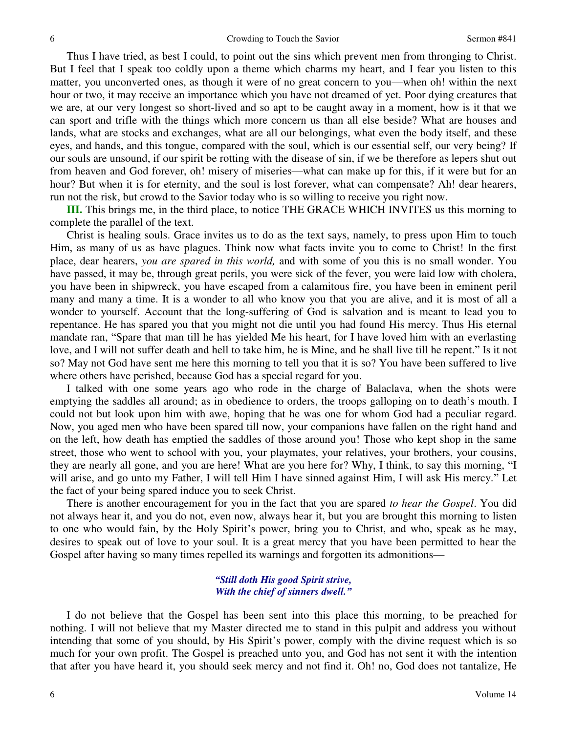Thus I have tried, as best I could, to point out the sins which prevent men from thronging to Christ. But I feel that I speak too coldly upon a theme which charms my heart, and I fear you listen to this matter, you unconverted ones, as though it were of no great concern to you—when oh! within the next hour or two, it may receive an importance which you have not dreamed of yet. Poor dying creatures that we are, at our very longest so short-lived and so apt to be caught away in a moment, how is it that we can sport and trifle with the things which more concern us than all else beside? What are houses and lands, what are stocks and exchanges, what are all our belongings, what even the body itself, and these eyes, and hands, and this tongue, compared with the soul, which is our essential self, our very being? If our souls are unsound, if our spirit be rotting with the disease of sin, if we be therefore as lepers shut out from heaven and God forever, oh! misery of miseries—what can make up for this, if it were but for an hour? But when it is for eternity, and the soul is lost forever, what can compensate? Ah! dear hearers, run not the risk, but crowd to the Savior today who is so willing to receive you right now.

**III.** This brings me, in the third place, to notice THE GRACE WHICH INVITES us this morning to complete the parallel of the text.

 Christ is healing souls. Grace invites us to do as the text says, namely, to press upon Him to touch Him, as many of us as have plagues. Think now what facts invite you to come to Christ! In the first place, dear hearers, *you are spared in this world,* and with some of you this is no small wonder. You have passed, it may be, through great perils, you were sick of the fever, you were laid low with cholera, you have been in shipwreck, you have escaped from a calamitous fire, you have been in eminent peril many and many a time. It is a wonder to all who know you that you are alive, and it is most of all a wonder to yourself. Account that the long-suffering of God is salvation and is meant to lead you to repentance. He has spared you that you might not die until you had found His mercy. Thus His eternal mandate ran, "Spare that man till he has yielded Me his heart, for I have loved him with an everlasting love, and I will not suffer death and hell to take him, he is Mine, and he shall live till he repent." Is it not so? May not God have sent me here this morning to tell you that it is so? You have been suffered to live where others have perished, because God has a special regard for you.

 I talked with one some years ago who rode in the charge of Balaclava, when the shots were emptying the saddles all around; as in obedience to orders, the troops galloping on to death's mouth. I could not but look upon him with awe, hoping that he was one for whom God had a peculiar regard. Now, you aged men who have been spared till now, your companions have fallen on the right hand and on the left, how death has emptied the saddles of those around you! Those who kept shop in the same street, those who went to school with you, your playmates, your relatives, your brothers, your cousins, they are nearly all gone, and you are here! What are you here for? Why, I think, to say this morning, "I will arise, and go unto my Father, I will tell Him I have sinned against Him, I will ask His mercy." Let the fact of your being spared induce you to seek Christ.

 There is another encouragement for you in the fact that you are spared *to hear the Gospel*. You did not always hear it, and you do not, even now, always hear it, but you are brought this morning to listen to one who would fain, by the Holy Spirit's power, bring you to Christ, and who, speak as he may, desires to speak out of love to your soul. It is a great mercy that you have been permitted to hear the Gospel after having so many times repelled its warnings and forgotten its admonitions—

#### *"Still doth His good Spirit strive, With the chief of sinners dwell."*

I do not believe that the Gospel has been sent into this place this morning, to be preached for nothing. I will not believe that my Master directed me to stand in this pulpit and address you without intending that some of you should, by His Spirit's power, comply with the divine request which is so much for your own profit. The Gospel is preached unto you, and God has not sent it with the intention that after you have heard it, you should seek mercy and not find it. Oh! no, God does not tantalize, He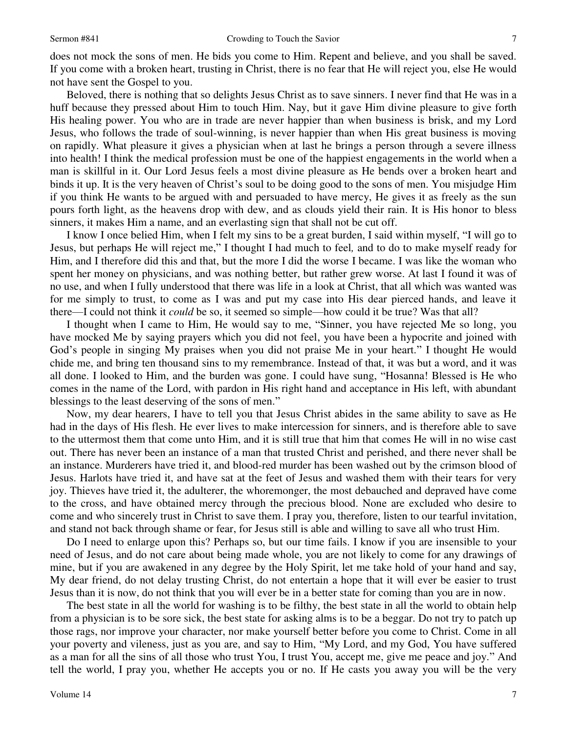does not mock the sons of men. He bids you come to Him. Repent and believe, and you shall be saved. If you come with a broken heart, trusting in Christ, there is no fear that He will reject you, else He would not have sent the Gospel to you.

 Beloved, there is nothing that so delights Jesus Christ as to save sinners. I never find that He was in a huff because they pressed about Him to touch Him. Nay, but it gave Him divine pleasure to give forth His healing power. You who are in trade are never happier than when business is brisk, and my Lord Jesus, who follows the trade of soul-winning, is never happier than when His great business is moving on rapidly. What pleasure it gives a physician when at last he brings a person through a severe illness into health! I think the medical profession must be one of the happiest engagements in the world when a man is skillful in it. Our Lord Jesus feels a most divine pleasure as He bends over a broken heart and binds it up. It is the very heaven of Christ's soul to be doing good to the sons of men. You misjudge Him if you think He wants to be argued with and persuaded to have mercy, He gives it as freely as the sun pours forth light, as the heavens drop with dew, and as clouds yield their rain. It is His honor to bless sinners, it makes Him a name, and an everlasting sign that shall not be cut off.

 I know I once belied Him, when I felt my sins to be a great burden, I said within myself, "I will go to Jesus, but perhaps He will reject me," I thought I had much to feel*,* and to do to make myself ready for Him, and I therefore did this and that, but the more I did the worse I became. I was like the woman who spent her money on physicians, and was nothing better, but rather grew worse. At last I found it was of no use, and when I fully understood that there was life in a look at Christ, that all which was wanted was for me simply to trust, to come as I was and put my case into His dear pierced hands, and leave it there—I could not think it *could* be so, it seemed so simple—how could it be true? Was that all?

 I thought when I came to Him, He would say to me, "Sinner, you have rejected Me so long, you have mocked Me by saying prayers which you did not feel, you have been a hypocrite and joined with God's people in singing My praises when you did not praise Me in your heart." I thought He would chide me, and bring ten thousand sins to my remembrance. Instead of that, it was but a word, and it was all done. I looked to Him, and the burden was gone. I could have sung, "Hosanna! Blessed is He who comes in the name of the Lord, with pardon in His right hand and acceptance in His left, with abundant blessings to the least deserving of the sons of men."

 Now, my dear hearers, I have to tell you that Jesus Christ abides in the same ability to save as He had in the days of His flesh. He ever lives to make intercession for sinners, and is therefore able to save to the uttermost them that come unto Him, and it is still true that him that comes He will in no wise cast out. There has never been an instance of a man that trusted Christ and perished, and there never shall be an instance. Murderers have tried it, and blood-red murder has been washed out by the crimson blood of Jesus. Harlots have tried it, and have sat at the feet of Jesus and washed them with their tears for very joy. Thieves have tried it, the adulterer, the whoremonger, the most debauched and depraved have come to the cross, and have obtained mercy through the precious blood. None are excluded who desire to come and who sincerely trust in Christ to save them. I pray you, therefore, listen to our tearful invitation, and stand not back through shame or fear, for Jesus still is able and willing to save all who trust Him.

 Do I need to enlarge upon this? Perhaps so, but our time fails. I know if you are insensible to your need of Jesus, and do not care about being made whole, you are not likely to come for any drawings of mine, but if you are awakened in any degree by the Holy Spirit, let me take hold of your hand and say, My dear friend, do not delay trusting Christ, do not entertain a hope that it will ever be easier to trust Jesus than it is now, do not think that you will ever be in a better state for coming than you are in now.

 The best state in all the world for washing is to be filthy, the best state in all the world to obtain help from a physician is to be sore sick, the best state for asking alms is to be a beggar. Do not try to patch up those rags, nor improve your character, nor make yourself better before you come to Christ. Come in all your poverty and vileness, just as you are, and say to Him, "My Lord, and my God, You have suffered as a man for all the sins of all those who trust You, I trust You, accept me, give me peace and joy." And tell the world, I pray you, whether He accepts you or no. If He casts you away you will be the very

Volume 14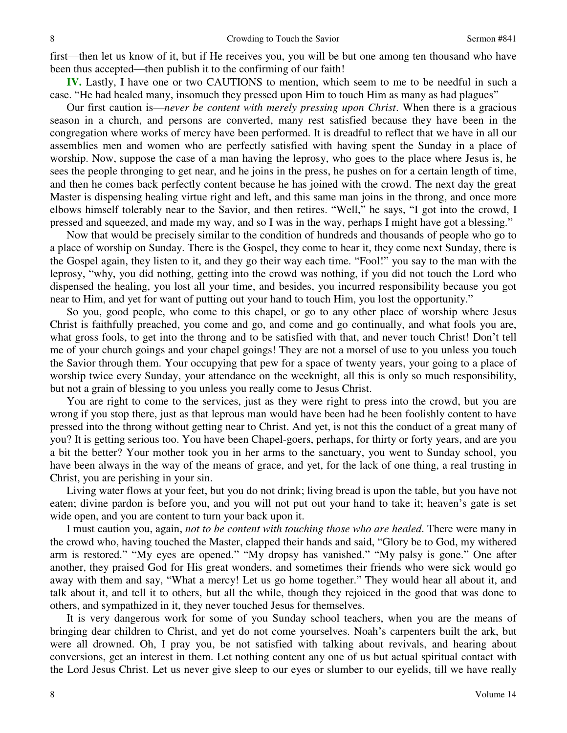first—then let us know of it, but if He receives you, you will be but one among ten thousand who have been thus accepted—then publish it to the confirming of our faith!

**IV.** Lastly, I have one or two CAUTIONS to mention, which seem to me to be needful in such a case. "He had healed many, insomuch they pressed upon Him to touch Him as many as had plagues"

 Our first caution is—*never be content with merely pressing upon Christ*. When there is a gracious season in a church, and persons are converted, many rest satisfied because they have been in the congregation where works of mercy have been performed. It is dreadful to reflect that we have in all our assemblies men and women who are perfectly satisfied with having spent the Sunday in a place of worship. Now, suppose the case of a man having the leprosy, who goes to the place where Jesus is, he sees the people thronging to get near, and he joins in the press, he pushes on for a certain length of time, and then he comes back perfectly content because he has joined with the crowd. The next day the great Master is dispensing healing virtue right and left, and this same man joins in the throng, and once more elbows himself tolerably near to the Savior, and then retires. "Well," he says, "I got into the crowd, I pressed and squeezed, and made my way, and so I was in the way, perhaps I might have got a blessing."

 Now that would be precisely similar to the condition of hundreds and thousands of people who go to a place of worship on Sunday. There is the Gospel, they come to hear it, they come next Sunday, there is the Gospel again, they listen to it, and they go their way each time. "Fool!" you say to the man with the leprosy, "why, you did nothing, getting into the crowd was nothing, if you did not touch the Lord who dispensed the healing, you lost all your time, and besides, you incurred responsibility because you got near to Him, and yet for want of putting out your hand to touch Him, you lost the opportunity."

 So you, good people, who come to this chapel, or go to any other place of worship where Jesus Christ is faithfully preached, you come and go, and come and go continually, and what fools you are, what gross fools, to get into the throng and to be satisfied with that, and never touch Christ! Don't tell me of your church goings and your chapel goings! They are not a morsel of use to you unless you touch the Savior through them. Your occupying that pew for a space of twenty years, your going to a place of worship twice every Sunday, your attendance on the weeknight, all this is only so much responsibility, but not a grain of blessing to you unless you really come to Jesus Christ.

 You are right to come to the services, just as they were right to press into the crowd, but you are wrong if you stop there, just as that leprous man would have been had he been foolishly content to have pressed into the throng without getting near to Christ. And yet, is not this the conduct of a great many of you? It is getting serious too. You have been Chapel-goers, perhaps, for thirty or forty years, and are you a bit the better? Your mother took you in her arms to the sanctuary, you went to Sunday school, you have been always in the way of the means of grace, and yet, for the lack of one thing, a real trusting in Christ, you are perishing in your sin.

 Living water flows at your feet, but you do not drink; living bread is upon the table, but you have not eaten; divine pardon is before you, and you will not put out your hand to take it; heaven's gate is set wide open, and you are content to turn your back upon it.

 I must caution you, again, *not to be content with touching those who are healed*. There were many in the crowd who, having touched the Master, clapped their hands and said, "Glory be to God, my withered arm is restored." "My eyes are opened." "My dropsy has vanished." "My palsy is gone." One after another, they praised God for His great wonders, and sometimes their friends who were sick would go away with them and say, "What a mercy! Let us go home together." They would hear all about it, and talk about it, and tell it to others, but all the while, though they rejoiced in the good that was done to others, and sympathized in it, they never touched Jesus for themselves.

 It is very dangerous work for some of you Sunday school teachers, when you are the means of bringing dear children to Christ, and yet do not come yourselves. Noah's carpenters built the ark, but were all drowned. Oh, I pray you, be not satisfied with talking about revivals, and hearing about conversions, get an interest in them. Let nothing content any one of us but actual spiritual contact with the Lord Jesus Christ. Let us never give sleep to our eyes or slumber to our eyelids, till we have really